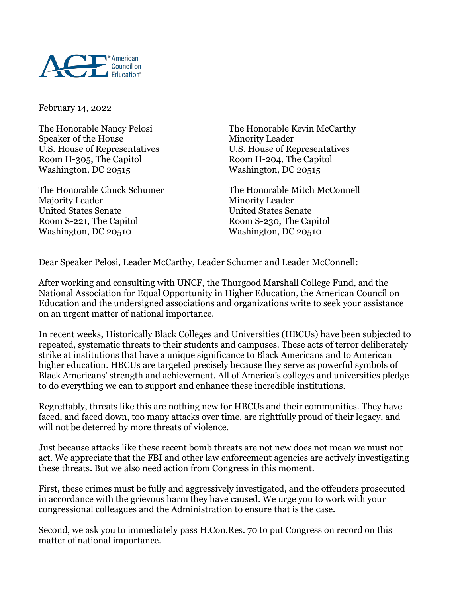

February 14, 2022

Speaker of the House Minority Leader Room H-305, The Capitol Room H-204, The Capitol Washington, DC 20515

Majority Leader Minority Leader United States Senate United States Senate Room S-221, The Capitol Room S-230, The Capitol Washington, DC 20510 Washington, DC 20510

The Honorable Nancy Pelosi The Honorable Kevin McCarthy U.S. House of Representatives U.S. House of Representatives

The Honorable Chuck Schumer The Honorable Mitch McConnell

Dear Speaker Pelosi, Leader McCarthy, Leader Schumer and Leader McConnell:

After working and consulting with UNCF, the Thurgood Marshall College Fund, and the National Association for Equal Opportunity in Higher Education, the American Council on Education and the undersigned associations and organizations write to seek your assistance on an urgent matter of national importance.

In recent weeks, Historically Black Colleges and Universities (HBCUs) have been subjected to repeated, systematic threats to their students and campuses. These acts of terror deliberately strike at institutions that have a unique significance to Black Americans and to American higher education. HBCUs are targeted precisely because they serve as powerful symbols of Black Americans' strength and achievement. All of America's colleges and universities pledge to do everything we can to support and enhance these incredible institutions.

Regrettably, threats like this are nothing new for HBCUs and their communities. They have faced, and faced down, too many attacks over time, are rightfully proud of their legacy, and will not be deterred by more threats of violence.

Just because attacks like these recent bomb threats are not new does not mean we must not act. We appreciate that the FBI and other law enforcement agencies are actively investigating these threats. But we also need action from Congress in this moment.

First, these crimes must be fully and aggressively investigated, and the offenders prosecuted in accordance with the grievous harm they have caused. We urge you to work with your congressional colleagues and the Administration to ensure that is the case.

Second, we ask you to immediately pass H.Con.Res. 70 to put Congress on record on this matter of national importance.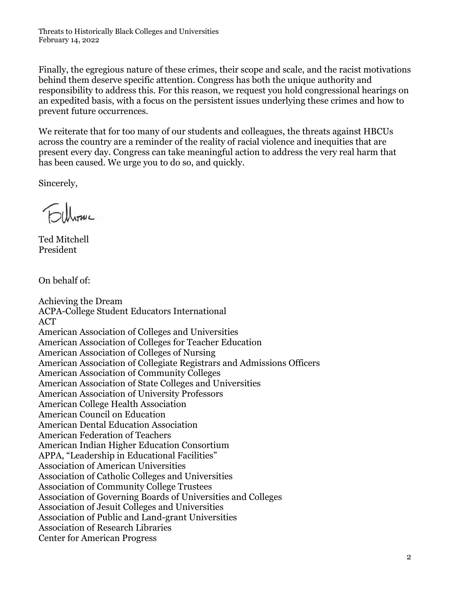Threats to Historically Black Colleges and Universities February 14, 2022

Finally, the egregious nature of these crimes, their scope and scale, and the racist motivations behind them deserve specific attention. Congress has both the unique authority and responsibility to address this. For this reason, we request you hold congressional hearings on an expedited basis, with a focus on the persistent issues underlying these crimes and how to prevent future occurrences.

We reiterate that for too many of our students and colleagues, the threats against HBCUs across the country are a reminder of the reality of racial violence and inequities that are present every day. Congress can take meaningful action to address the very real harm that has been caused. We urge you to do so, and quickly.

Sincerely,

Ted Mitchell President

On behalf of:

Achieving the Dream ACPA-College Student Educators International ACT American Association of Colleges and Universities American Association of Colleges for Teacher Education American Association of Colleges of Nursing American Association of Collegiate Registrars and Admissions Officers American Association of Community Colleges American Association of State Colleges and Universities American Association of University Professors American College Health Association American Council on Education American Dental Education Association American Federation of Teachers American Indian Higher Education Consortium APPA, "Leadership in Educational Facilities" Association of American Universities Association of Catholic Colleges and Universities Association of Community College Trustees Association of Governing Boards of Universities and Colleges Association of Jesuit Colleges and Universities Association of Public and Land-grant Universities Association of Research Libraries Center for American Progress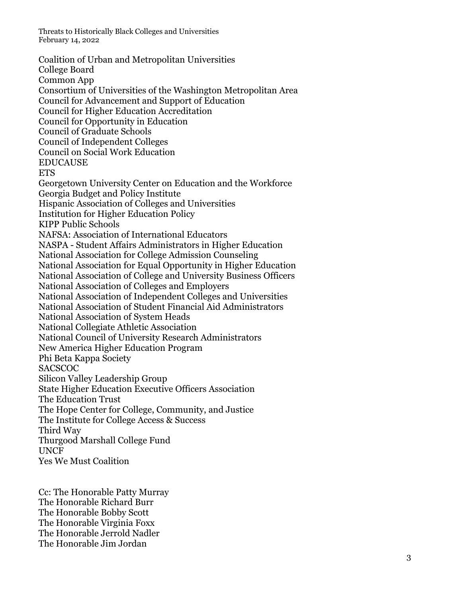Threats to Historically Black Colleges and Universities February 14, 2022

Coalition of Urban and Metropolitan Universities College Board Common App Consortium of Universities of the Washington Metropolitan Area Council for Advancement and Support of Education Council for Higher Education Accreditation Council for Opportunity in Education Council of Graduate Schools Council of Independent Colleges Council on Social Work Education EDUCAUSE ETS Georgetown University Center on Education and the Workforce Georgia Budget and Policy Institute Hispanic Association of Colleges and Universities Institution for Higher Education Policy KIPP Public Schools NAFSA: Association of International Educators NASPA - Student Affairs Administrators in Higher Education National Association for College Admission Counseling National Association for Equal Opportunity in Higher Educ ation National Association of College and University Business Officers National Association of Colleges and Employers National Association of Independent Colleges and Universities National Association of Student Financial Aid Administrators National Association of System Heads National Collegiate Athletic Association National Council of University Research Administrators New America Higher Education Program Phi Beta Kappa Society **SACSCOC** Silicon Valley Leadership Group State Higher Education Executive Officers Association The Education Trust The Hope Center for College, Community, and Justice The Institute for College Access & Success Third Way Thurgood Marshall College Fund UNCF Yes We Must Coalition

Cc: The Honorable Patty Murray The Honorable Richard Burr The Honorable Bobby Scott The Honorable Virginia Foxx The Honorable Jerrold Nadler The Honorable Jim Jordan